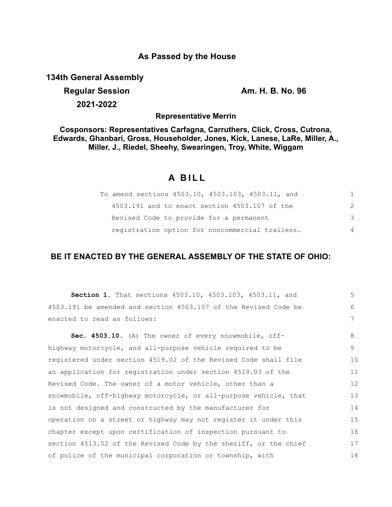### **As Passed by the House**

**134th General Assembly**

# **Regular Session Am. H. B. No. 96 2021-2022**

**Representative Merrin**

**Cosponsors: Representatives Carfagna, Carruthers, Click, Cross, Cutrona, Edwards, Ghanbari, Gross, Householder, Jones, Kick, Lanese, LaRe, Miller, A., Miller, J., Riedel, Sheehy, Swearingen, Troy, White, Wiggam**

## **A BILL**

| To amend sections 4503.10, 4503.103, 4503.11, and | 1.            |
|---------------------------------------------------|---------------|
| 4503.191 and to enact section 4503.107 of the     | $\mathcal{P}$ |
| Revised Code to provide for a permanent           | 3             |
| registration option for noncommercial trailers.   | 4             |

### **BE IT ENACTED BY THE GENERAL ASSEMBLY OF THE STATE OF OHIO:**

| Section 1. That sections 4503.10, 4503.103, 4503.11, and         | 5  |
|------------------------------------------------------------------|----|
| 4503.191 be amended and section 4503.107 of the Revised Code be  | 6  |
| enacted to read as follows:                                      | 7  |
| Sec. 4503.10. (A) The owner of every snowmobile, off-            | 8  |
| highway motorcycle, and all-purpose vehicle required to be       | 9  |
| registered under section 4519.02 of the Revised Code shall file  | 10 |
| an application for registration under section 4519.03 of the     | 11 |
| Revised Code. The owner of a motor vehicle, other than a         | 12 |
| snowmobile, off-highway motorcycle, or all-purpose vehicle, that | 13 |
| is not designed and constructed by the manufacturer for          | 14 |
| operation on a street or highway may not register it under this  | 15 |
| chapter except upon certification of inspection pursuant to      | 16 |
| section 4513.02 of the Revised Code by the sheriff, or the chief | 17 |
| of police of the municipal corporation or township, with         | 18 |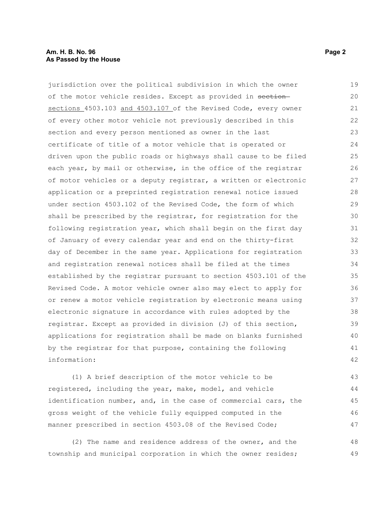#### **Am. H. B. No. 96 Page 2** Page 2 Page 2 Page 2 Page 2 **As Passed by the House**

jurisdiction over the political subdivision in which the owner of the motor vehicle resides. Except as provided in sectionsections 4503.103 and 4503.107 of the Revised Code, every owner of every other motor vehicle not previously described in this section and every person mentioned as owner in the last certificate of title of a motor vehicle that is operated or driven upon the public roads or highways shall cause to be filed each year, by mail or otherwise, in the office of the registrar of motor vehicles or a deputy registrar, a written or electronic application or a preprinted registration renewal notice issued under section 4503.102 of the Revised Code, the form of which shall be prescribed by the registrar, for registration for the following registration year, which shall begin on the first day of January of every calendar year and end on the thirty-first day of December in the same year. Applications for registration and registration renewal notices shall be filed at the times established by the registrar pursuant to section 4503.101 of the Revised Code. A motor vehicle owner also may elect to apply for or renew a motor vehicle registration by electronic means using electronic signature in accordance with rules adopted by the registrar. Except as provided in division (J) of this section, applications for registration shall be made on blanks furnished by the registrar for that purpose, containing the following information: 19 20 21 22 23 24 25 26 27 28 29 30 31 32 33 34 35 36 37 38 39 40 41 42

(1) A brief description of the motor vehicle to be registered, including the year, make, model, and vehicle identification number, and, in the case of commercial cars, the gross weight of the vehicle fully equipped computed in the manner prescribed in section 4503.08 of the Revised Code; 43 44 45 46 47

(2) The name and residence address of the owner, and the township and municipal corporation in which the owner resides; 48 49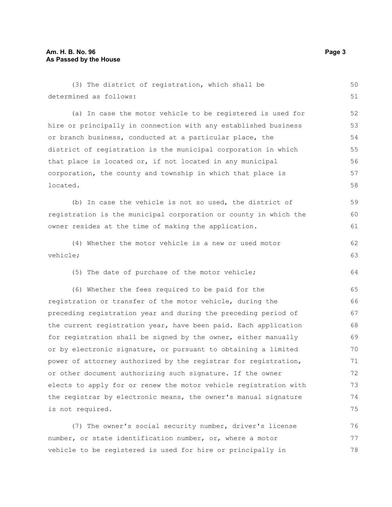| (3) The district of registration, which shall be                 | 50 |
|------------------------------------------------------------------|----|
| determined as follows:                                           |    |
| (a) In case the motor vehicle to be registered is used for       | 52 |
| hire or principally in connection with any established business  | 53 |
| or branch business, conducted at a particular place, the         | 54 |
| district of registration is the municipal corporation in which   | 55 |
| that place is located or, if not located in any municipal        | 56 |
| corporation, the county and township in which that place is      |    |
| located.                                                         |    |
| (b) In case the vehicle is not so used, the district of          | 59 |
| registration is the municipal corporation or county in which the | 60 |
| owner resides at the time of making the application.             | 61 |
| (4) Whether the motor vehicle is a new or used motor             | 62 |
| vehicle;                                                         |    |
| (5) The date of purchase of the motor vehicle;                   | 64 |
| (6) Whether the fees required to be paid for the                 | 65 |
| registration or transfer of the motor vehicle, during the        | 66 |
| preceding registration year and during the preceding period of   | 67 |
| the current registration year, have been paid. Each application  | 68 |
| for registration shall be signed by the owner, either manually   | 69 |
| or by electronic signature, or pursuant to obtaining a limited   | 70 |
| power of attorney authorized by the registrar for registration,  | 71 |
| or other document authorizing such signature. If the owner       | 72 |
| elects to apply for or renew the motor vehicle registration with | 73 |
| the registrar by electronic means, the owner's manual signature  | 74 |
| is not required.                                                 | 75 |
| (7) The owner's social security number, driver's license         | 76 |
| number, or state identification number, or, where a motor        | 77 |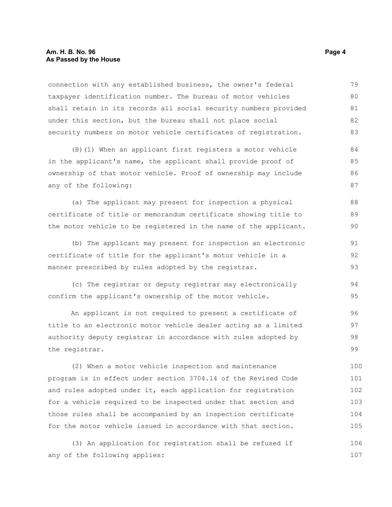connection with any established business, the owner's federal taxpayer identification number. The bureau of motor vehicles shall retain in its records all social security numbers provided under this section, but the bureau shall not place social security numbers on motor vehicle certificates of registration. 79 80 81 82 83

(B)(1) When an applicant first registers a motor vehicle in the applicant's name, the applicant shall provide proof of ownership of that motor vehicle. Proof of ownership may include any of the following: 84 85 86 87

(a) The applicant may present for inspection a physical certificate of title or memorandum certificate showing title to the motor vehicle to be registered in the name of the applicant.

(b) The applicant may present for inspection an electronic certificate of title for the applicant's motor vehicle in a manner prescribed by rules adopted by the registrar.

(c) The registrar or deputy registrar may electronically confirm the applicant's ownership of the motor vehicle. 94 95

An applicant is not required to present a certificate of title to an electronic motor vehicle dealer acting as a limited authority deputy registrar in accordance with rules adopted by the registrar.

(2) When a motor vehicle inspection and maintenance program is in effect under section 3704.14 of the Revised Code and rules adopted under it, each application for registration for a vehicle required to be inspected under that section and those rules shall be accompanied by an inspection certificate for the motor vehicle issued in accordance with that section. 100 101 102 103 104 105

(3) An application for registration shall be refused if any of the following applies: 106 107

88 89 90

91 92 93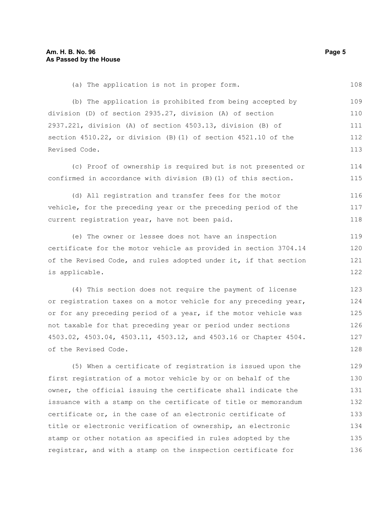(b) The application is prohibited from being accepted by division (D) of section 2935.27, division (A) of section 2937.221, division (A) of section 4503.13, division (B) of section 4510.22, or division (B)(1) of section 4521.10 of the Revised Code. 109 110 111 112 113

(a) The application is not in proper form.

(c) Proof of ownership is required but is not presented or confirmed in accordance with division (B)(1) of this section. 114 115

(d) All registration and transfer fees for the motor vehicle, for the preceding year or the preceding period of the current registration year, have not been paid. 116 117 118

(e) The owner or lessee does not have an inspection certificate for the motor vehicle as provided in section 3704.14 of the Revised Code, and rules adopted under it, if that section is applicable. 119 120 121 122

(4) This section does not require the payment of license or registration taxes on a motor vehicle for any preceding year, or for any preceding period of a year, if the motor vehicle was not taxable for that preceding year or period under sections 4503.02, 4503.04, 4503.11, 4503.12, and 4503.16 or Chapter 4504. of the Revised Code. 123 124 125 126 127 128

(5) When a certificate of registration is issued upon the first registration of a motor vehicle by or on behalf of the owner, the official issuing the certificate shall indicate the issuance with a stamp on the certificate of title or memorandum certificate or, in the case of an electronic certificate of title or electronic verification of ownership, an electronic stamp or other notation as specified in rules adopted by the registrar, and with a stamp on the inspection certificate for 129 130 131 132 133 134 135 136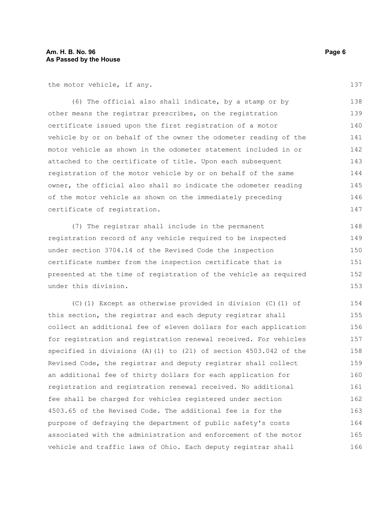the motor vehicle, if any.

(6) The official also shall indicate, by a stamp or by other means the registrar prescribes, on the registration certificate issued upon the first registration of a motor vehicle by or on behalf of the owner the odometer reading of the motor vehicle as shown in the odometer statement included in or attached to the certificate of title. Upon each subsequent registration of the motor vehicle by or on behalf of the same owner, the official also shall so indicate the odometer reading of the motor vehicle as shown on the immediately preceding certificate of registration. 138 139 140 141 142 143 144 145 146 147

(7) The registrar shall include in the permanent registration record of any vehicle required to be inspected under section 3704.14 of the Revised Code the inspection certificate number from the inspection certificate that is presented at the time of registration of the vehicle as required under this division. 148 149 150 151 152 153

(C)(1) Except as otherwise provided in division (C)(1) of this section, the registrar and each deputy registrar shall collect an additional fee of eleven dollars for each application for registration and registration renewal received. For vehicles specified in divisions (A)(1) to (21) of section 4503.042 of the Revised Code, the registrar and deputy registrar shall collect an additional fee of thirty dollars for each application for registration and registration renewal received. No additional fee shall be charged for vehicles registered under section 4503.65 of the Revised Code. The additional fee is for the purpose of defraying the department of public safety's costs associated with the administration and enforcement of the motor vehicle and traffic laws of Ohio. Each deputy registrar shall 154 155 156 157 158 159 160 161 162 163 164 165 166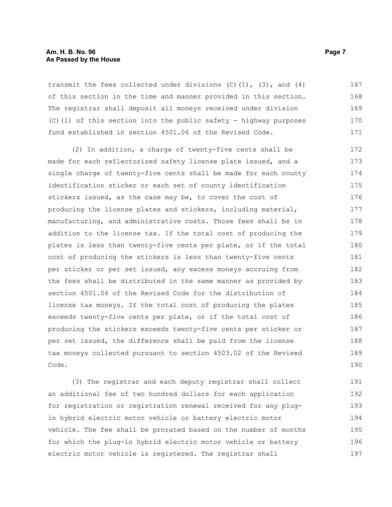#### **Am. H. B. No. 96 Page 7** Page 7 Page 7 Page 7 Page 7 **As Passed by the House**

transmit the fees collected under divisions  $(C)$   $(1)$ ,  $(3)$ , and  $(4)$ of this section in the time and manner provided in this section. The registrar shall deposit all moneys received under division (C)(1) of this section into the public safety - highway purposes fund established in section 4501.06 of the Revised Code. 167 168 169 170 171

(2) In addition, a charge of twenty-five cents shall be made for each reflectorized safety license plate issued, and a single charge of twenty-five cents shall be made for each county identification sticker or each set of county identification stickers issued, as the case may be, to cover the cost of producing the license plates and stickers, including material, manufacturing, and administrative costs. Those fees shall be in addition to the license tax. If the total cost of producing the plates is less than twenty-five cents per plate, or if the total cost of producing the stickers is less than twenty-five cents per sticker or per set issued, any excess moneys accruing from the fees shall be distributed in the same manner as provided by section 4501.04 of the Revised Code for the distribution of license tax moneys. If the total cost of producing the plates exceeds twenty-five cents per plate, or if the total cost of producing the stickers exceeds twenty-five cents per sticker or per set issued, the difference shall be paid from the license tax moneys collected pursuant to section 4503.02 of the Revised Code. 172 173 174 175 176 177 178 179 180 181 182 183 184 185 186 187 188 189 190

(3) The registrar and each deputy registrar shall collect an additional fee of two hundred dollars for each application for registration or registration renewal received for any plugin hybrid electric motor vehicle or battery electric motor vehicle. The fee shall be prorated based on the number of months for which the plug-in hybrid electric motor vehicle or battery electric motor vehicle is registered. The registrar shall 191 192 193 194 195 196 197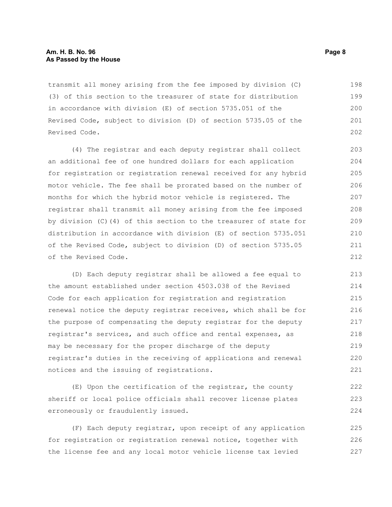#### **Am. H. B. No. 96 Page 8 As Passed by the House**

transmit all money arising from the fee imposed by division (C) (3) of this section to the treasurer of state for distribution in accordance with division (E) of section 5735.051 of the Revised Code, subject to division (D) of section 5735.05 of the Revised Code. 198 199 200 201 202

(4) The registrar and each deputy registrar shall collect an additional fee of one hundred dollars for each application for registration or registration renewal received for any hybrid motor vehicle. The fee shall be prorated based on the number of months for which the hybrid motor vehicle is registered. The registrar shall transmit all money arising from the fee imposed by division (C)(4) of this section to the treasurer of state for distribution in accordance with division (E) of section 5735.051 of the Revised Code, subject to division (D) of section 5735.05 of the Revised Code. 203 204 205 206 207 208 209 210 211 212

(D) Each deputy registrar shall be allowed a fee equal to the amount established under section 4503.038 of the Revised Code for each application for registration and registration renewal notice the deputy registrar receives, which shall be for the purpose of compensating the deputy registrar for the deputy registrar's services, and such office and rental expenses, as may be necessary for the proper discharge of the deputy registrar's duties in the receiving of applications and renewal notices and the issuing of registrations.

(E) Upon the certification of the registrar, the county sheriff or local police officials shall recover license plates erroneously or fraudulently issued.

(F) Each deputy registrar, upon receipt of any application for registration or registration renewal notice, together with the license fee and any local motor vehicle license tax levied 225 226 227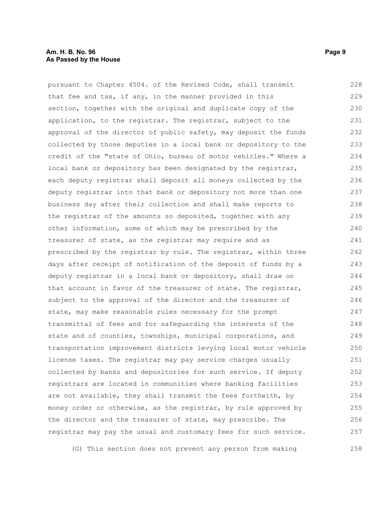#### **Am. H. B. No. 96 Page 9 As Passed by the House**

pursuant to Chapter 4504. of the Revised Code, shall transmit that fee and tax, if any, in the manner provided in this section, together with the original and duplicate copy of the application, to the registrar. The registrar, subject to the approval of the director of public safety, may deposit the funds collected by those deputies in a local bank or depository to the credit of the "state of Ohio, bureau of motor vehicles." Where a local bank or depository has been designated by the registrar, each deputy registrar shall deposit all moneys collected by the deputy registrar into that bank or depository not more than one business day after their collection and shall make reports to the registrar of the amounts so deposited, together with any other information, some of which may be prescribed by the treasurer of state, as the registrar may require and as prescribed by the registrar by rule. The registrar, within three days after receipt of notification of the deposit of funds by a deputy registrar in a local bank or depository, shall draw on that account in favor of the treasurer of state. The registrar, subject to the approval of the director and the treasurer of state, may make reasonable rules necessary for the prompt transmittal of fees and for safeguarding the interests of the state and of counties, townships, municipal corporations, and transportation improvement districts levying local motor vehicle license taxes. The registrar may pay service charges usually collected by banks and depositories for such service. If deputy registrars are located in communities where banking facilities are not available, they shall transmit the fees forthwith, by money order or otherwise, as the registrar, by rule approved by the director and the treasurer of state, may prescribe. The registrar may pay the usual and customary fees for such service. 228 229 230 231 232 233 234 235 236 237 238 239 240 241 242 243 244 245 246 247 248 249 250 251 252 253 254 255 256 257

(G) This section does not prevent any person from making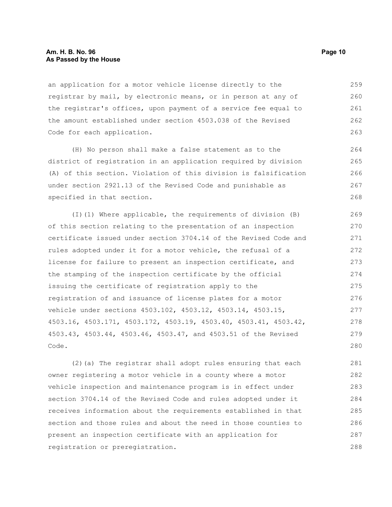#### **Am. H. B. No. 96 Page 10 As Passed by the House**

an application for a motor vehicle license directly to the registrar by mail, by electronic means, or in person at any of the registrar's offices, upon payment of a service fee equal to the amount established under section 4503.038 of the Revised Code for each application. 259 260 261 262 263

(H) No person shall make a false statement as to the district of registration in an application required by division (A) of this section. Violation of this division is falsification under section 2921.13 of the Revised Code and punishable as specified in that section.

(I)(1) Where applicable, the requirements of division (B) of this section relating to the presentation of an inspection certificate issued under section 3704.14 of the Revised Code and rules adopted under it for a motor vehicle, the refusal of a license for failure to present an inspection certificate, and the stamping of the inspection certificate by the official issuing the certificate of registration apply to the registration of and issuance of license plates for a motor vehicle under sections 4503.102, 4503.12, 4503.14, 4503.15, 4503.16, 4503.171, 4503.172, 4503.19, 4503.40, 4503.41, 4503.42, 4503.43, 4503.44, 4503.46, 4503.47, and 4503.51 of the Revised Code. 269 270 271 272 273 274 275 276 277 278 279 280

(2)(a) The registrar shall adopt rules ensuring that each owner registering a motor vehicle in a county where a motor vehicle inspection and maintenance program is in effect under section 3704.14 of the Revised Code and rules adopted under it receives information about the requirements established in that section and those rules and about the need in those counties to present an inspection certificate with an application for registration or preregistration. 281 282 283 284 285 286 287 288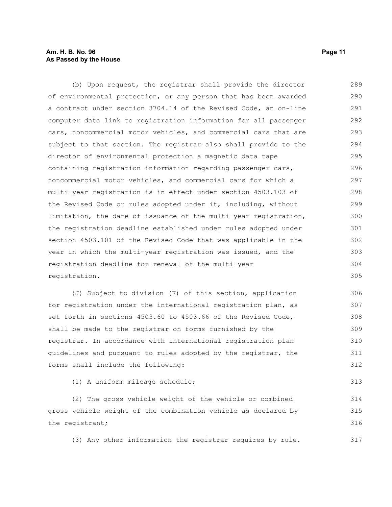#### **Am. H. B. No. 96 Page 11 As Passed by the House**

(b) Upon request, the registrar shall provide the director of environmental protection, or any person that has been awarded a contract under section 3704.14 of the Revised Code, an on-line computer data link to registration information for all passenger cars, noncommercial motor vehicles, and commercial cars that are subject to that section. The registrar also shall provide to the director of environmental protection a magnetic data tape containing registration information regarding passenger cars, noncommercial motor vehicles, and commercial cars for which a multi-year registration is in effect under section 4503.103 of the Revised Code or rules adopted under it, including, without limitation, the date of issuance of the multi-year registration, the registration deadline established under rules adopted under section 4503.101 of the Revised Code that was applicable in the year in which the multi-year registration was issued, and the registration deadline for renewal of the multi-year registration. 289 290 291 292 293 294 295 296 297 298 299 300 301 302 303 304 305

(J) Subject to division (K) of this section, application for registration under the international registration plan, as set forth in sections 4503.60 to 4503.66 of the Revised Code, shall be made to the registrar on forms furnished by the registrar. In accordance with international registration plan guidelines and pursuant to rules adopted by the registrar, the forms shall include the following: 306 307 308 309 310 311 312

(1) A uniform mileage schedule;

(2) The gross vehicle weight of the vehicle or combined gross vehicle weight of the combination vehicle as declared by the registrant; 314 315 316

(3) Any other information the registrar requires by rule. 317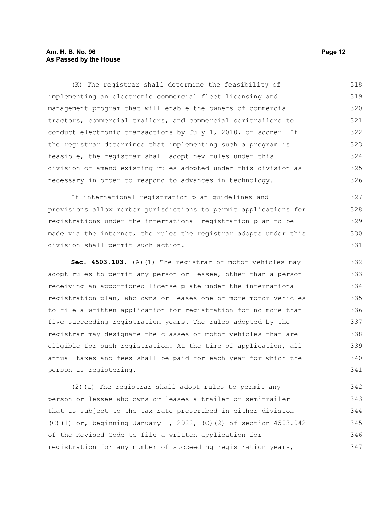#### **Am. H. B. No. 96 Page 12 As Passed by the House**

(K) The registrar shall determine the feasibility of implementing an electronic commercial fleet licensing and management program that will enable the owners of commercial tractors, commercial trailers, and commercial semitrailers to conduct electronic transactions by July 1, 2010, or sooner. If the registrar determines that implementing such a program is feasible, the registrar shall adopt new rules under this division or amend existing rules adopted under this division as necessary in order to respond to advances in technology. 318 319 320 321 322 323 324 325 326

If international registration plan guidelines and provisions allow member jurisdictions to permit applications for registrations under the international registration plan to be made via the internet, the rules the registrar adopts under this division shall permit such action. 327 328 329 330 331

**Sec. 4503.103.** (A)(1) The registrar of motor vehicles may adopt rules to permit any person or lessee, other than a person receiving an apportioned license plate under the international registration plan, who owns or leases one or more motor vehicles to file a written application for registration for no more than five succeeding registration years. The rules adopted by the registrar may designate the classes of motor vehicles that are eligible for such registration. At the time of application, all annual taxes and fees shall be paid for each year for which the person is registering.

(2)(a) The registrar shall adopt rules to permit any person or lessee who owns or leases a trailer or semitrailer that is subject to the tax rate prescribed in either division (C)(1) or, beginning January 1, 2022, (C)(2) of section 4503.042 of the Revised Code to file a written application for registration for any number of succeeding registration years, 342 343 344 345 346 347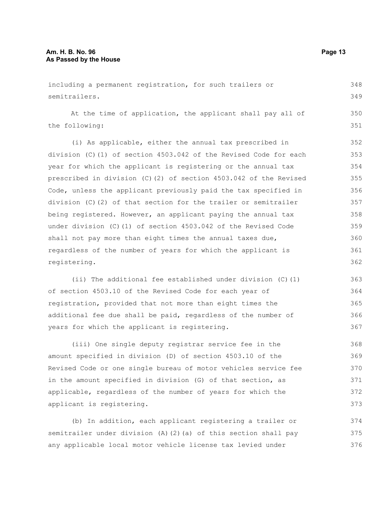including a permanent registration, for such trailers or semitrailers. At the time of application, the applicant shall pay all of the following: (i) As applicable, either the annual tax prescribed in division (C)(1) of section 4503.042 of the Revised Code for each year for which the applicant is registering or the annual tax prescribed in division (C)(2) of section 4503.042 of the Revised Code, unless the applicant previously paid the tax specified in division (C)(2) of that section for the trailer or semitrailer being registered. However, an applicant paying the annual tax under division (C)(1) of section 4503.042 of the Revised Code shall not pay more than eight times the annual taxes due, regardless of the number of years for which the applicant is registering. 348 349 350 351 352 353 354 355 356 357 358 359 360 361 362

(ii) The additional fee established under division (C)(1) of section 4503.10 of the Revised Code for each year of registration, provided that not more than eight times the additional fee due shall be paid, regardless of the number of years for which the applicant is registering. 363 364 365 366 367

(iii) One single deputy registrar service fee in the amount specified in division (D) of section 4503.10 of the Revised Code or one single bureau of motor vehicles service fee in the amount specified in division (G) of that section, as applicable, regardless of the number of years for which the applicant is registering. 368 369 370 371 373

(b) In addition, each applicant registering a trailer or semitrailer under division (A)(2)(a) of this section shall pay any applicable local motor vehicle license tax levied under 374 375 376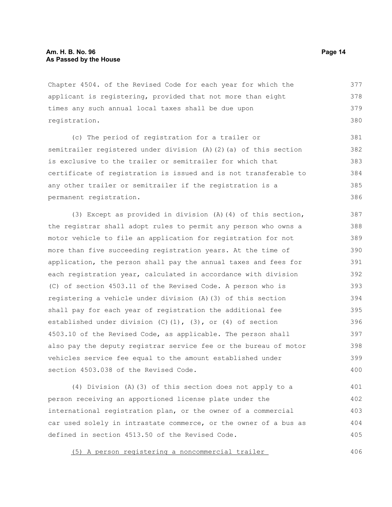Chapter 4504. of the Revised Code for each year for which the applicant is registering, provided that not more than eight times any such annual local taxes shall be due upon registration. 377 378 379 380

(c) The period of registration for a trailer or semitrailer registered under division (A)(2)(a) of this section is exclusive to the trailer or semitrailer for which that certificate of registration is issued and is not transferable to any other trailer or semitrailer if the registration is a permanent registration. 381 382 383 384 385 386

(3) Except as provided in division (A)(4) of this section, the registrar shall adopt rules to permit any person who owns a motor vehicle to file an application for registration for not more than five succeeding registration years. At the time of application, the person shall pay the annual taxes and fees for each registration year, calculated in accordance with division (C) of section 4503.11 of the Revised Code. A person who is registering a vehicle under division (A)(3) of this section shall pay for each year of registration the additional fee established under division (C)(1), (3), or (4) of section 4503.10 of the Revised Code, as applicable. The person shall also pay the deputy registrar service fee or the bureau of motor vehicles service fee equal to the amount established under section 4503.038 of the Revised Code. 387 388 389 390 391 392 393 394 395 396 397 398 399 400

(4) Division (A)(3) of this section does not apply to a person receiving an apportioned license plate under the international registration plan, or the owner of a commercial car used solely in intrastate commerce, or the owner of a bus as defined in section 4513.50 of the Revised Code. 401 402 403 404 405

(5) A person registering a noncommercial trailer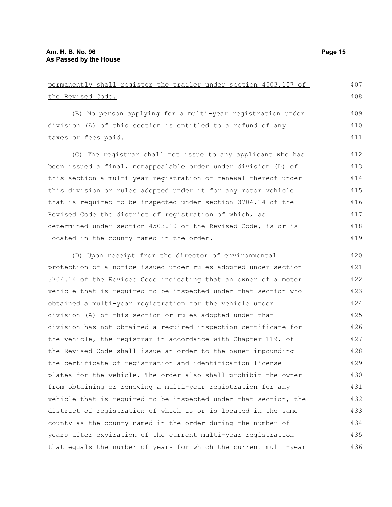| permanently shall register the trailer under section 4503.107 of |     |
|------------------------------------------------------------------|-----|
| the Revised Code.                                                | 408 |
| (B) No person applying for a multi-year registration under       | 409 |
| division (A) of this section is entitled to a refund of any      | 410 |
| taxes or fees paid.                                              | 411 |
| (C) The registrar shall not issue to any applicant who has       | 412 |
| been issued a final, nonappealable order under division (D) of   | 413 |
| this section a multi-year registration or renewal thereof under  | 414 |
| this division or rules adopted under it for any motor vehicle    | 415 |
| that is required to be inspected under section 3704.14 of the    | 416 |
| Revised Code the district of registration of which, as           | 417 |
| determined under section 4503.10 of the Revised Code, is or is   | 418 |
| located in the county named in the order.                        | 419 |
| (D) Upon receipt from the director of environmental              | 420 |
| protection of a notice issued under rules adopted under section  | 421 |
| 3704.14 of the Revised Code indicating that an owner of a motor  | 422 |
| vehicle that is required to be inspected under that section who  | 423 |
| obtained a multi-year registration for the vehicle under         | 424 |
| division (A) of this section or rules adopted under that         | 425 |
| division has not obtained a required inspection certificate for  | 426 |
| the vehicle, the registrar in accordance with Chapter 119. of    | 427 |
| the Revised Code shall issue an order to the owner impounding    | 428 |
| the certificate of registration and identification license       | 429 |
| plates for the vehicle. The order also shall prohibit the owner  | 430 |
| from obtaining or renewing a multi-year registration for any     | 431 |
| vehicle that is required to be inspected under that section, the | 432 |
| district of registration of which is or is located in the same   | 433 |
| county as the county named in the order during the number of     | 434 |
| years after expiration of the current multi-year registration    | 435 |
| that equals the number of years for which the current multi-year | 436 |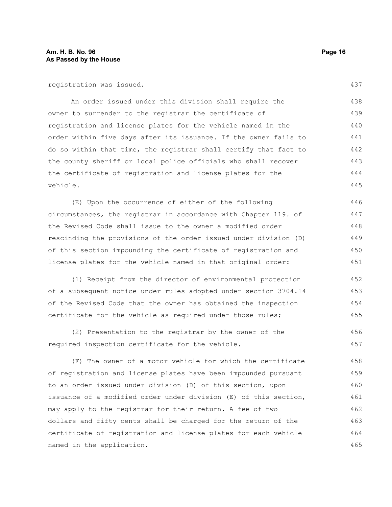registration was issued.

An order issued under this division shall require the owner to surrender to the registrar the certificate of registration and license plates for the vehicle named in the order within five days after its issuance. If the owner fails to do so within that time, the registrar shall certify that fact to the county sheriff or local police officials who shall recover the certificate of registration and license plates for the vehicle. 438 439 440 441 442 443 444 445

(E) Upon the occurrence of either of the following circumstances, the registrar in accordance with Chapter 119. of the Revised Code shall issue to the owner a modified order rescinding the provisions of the order issued under division (D) of this section impounding the certificate of registration and license plates for the vehicle named in that original order: 446 447 448 449 450 451

(1) Receipt from the director of environmental protection of a subsequent notice under rules adopted under section 3704.14 of the Revised Code that the owner has obtained the inspection certificate for the vehicle as required under those rules; 452 453 454 455

(2) Presentation to the registrar by the owner of the required inspection certificate for the vehicle. 456 457

(F) The owner of a motor vehicle for which the certificate of registration and license plates have been impounded pursuant to an order issued under division (D) of this section, upon issuance of a modified order under division (E) of this section, may apply to the registrar for their return. A fee of two dollars and fifty cents shall be charged for the return of the certificate of registration and license plates for each vehicle named in the application. 458 459 460 461 462 463 464 465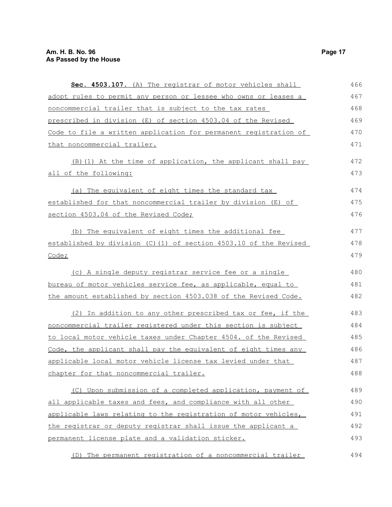| Sec. 4503.107. (A) The registrar of motor vehicles shall         | 466 |
|------------------------------------------------------------------|-----|
| adopt rules to permit any person or lessee who owns or leases a  | 467 |
| noncommercial trailer that is subject to the tax rates           | 468 |
| prescribed in division (E) of section 4503.04 of the Revised     | 469 |
| Code to file a written application for permanent registration of | 470 |
| that noncommercial trailer.                                      | 471 |
| (B) (1) At the time of application, the applicant shall pay      | 472 |
| all of the following:                                            | 473 |
| (a) The equivalent of eight times the standard tax               | 474 |
| established for that noncommercial trailer by division (E) of    | 475 |
| section 4503.04 of the Revised Code;                             | 476 |
| (b) The equivalent of eight times the additional fee             | 477 |
| established by division (C)(1) of section 4503.10 of the Revised | 478 |
| Code;                                                            | 479 |
| (c) A single deputy registrar service fee or a single            | 480 |
| bureau of motor vehicles service fee, as applicable, equal to    | 481 |
| the amount established by section 4503.038 of the Revised Code.  | 482 |
| (2) In addition to any other prescribed tax or fee, if the       | 483 |
| noncommercial trailer registered under this section is subject   | 484 |
| to local motor vehicle taxes under Chapter 4504. of the Revised  | 485 |
| Code, the applicant shall pay the equivalent of eight times any  | 486 |
| applicable local motor vehicle license tax levied under that     | 487 |
| chapter for that noncommercial trailer.                          | 488 |
| (C) Upon submission of a completed application, payment of       | 489 |
| all applicable taxes and fees, and compliance with all other     | 490 |
| applicable laws relating to the registration of motor vehicles,  | 491 |
| the registrar or deputy registrar shall issue the applicant a    | 492 |
| permanent license plate and a validation sticker.                | 493 |
| (D) The permanent registration of a noncommercial trailer        | 494 |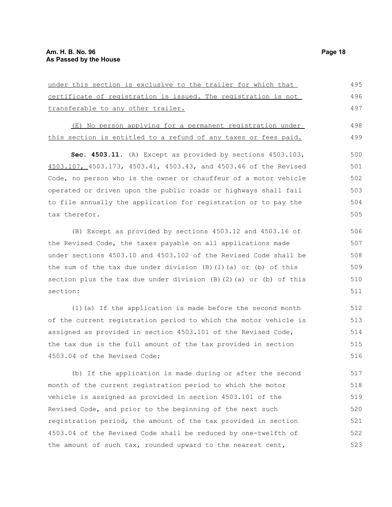under this section is exclusive to the trailer for which that certificate of registration is issued. The registration is not transferable to any other trailer. 495 496 497

(E) No person applying for a permanent registration under this section is entitled to a refund of any taxes or fees paid. 498 499

**Sec. 4503.11.** (A) Except as provided by sections 4503.103, 4503.107, 4503.173, 4503.41, 4503.43, and 4503.46 of the Revised Code, no person who is the owner or chauffeur of a motor vehicle operated or driven upon the public roads or highways shall fail to file annually the application for registration or to pay the tax therefor. 500 501 502 503 504 505

(B) Except as provided by sections 4503.12 and 4503.16 of the Revised Code, the taxes payable on all applications made under sections 4503.10 and 4503.102 of the Revised Code shall be the sum of the tax due under division  $(B)(1)(a)$  or  $(b)$  of this section plus the tax due under division  $(B)$  (2)(a) or (b) of this section:

(1)(a) If the application is made before the second month of the current registration period to which the motor vehicle is assigned as provided in section 4503.101 of the Revised Code, the tax due is the full amount of the tax provided in section 4503.04 of the Revised Code;

(b) If the application is made during or after the second month of the current registration period to which the motor vehicle is assigned as provided in section 4503.101 of the Revised Code, and prior to the beginning of the next such registration period, the amount of the tax provided in section 4503.04 of the Revised Code shall be reduced by one-twelfth of the amount of such tax, rounded upward to the nearest cent, 517 518 519 520 521 522 523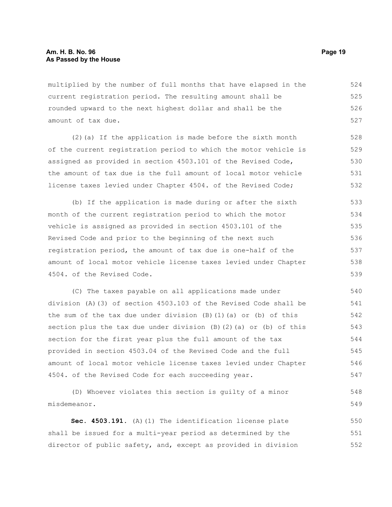multiplied by the number of full months that have elapsed in the current registration period. The resulting amount shall be rounded upward to the next highest dollar and shall be the amount of tax due. 524 525 526 527

(2)(a) If the application is made before the sixth month of the current registration period to which the motor vehicle is assigned as provided in section 4503.101 of the Revised Code, the amount of tax due is the full amount of local motor vehicle license taxes levied under Chapter 4504. of the Revised Code; 528 529 530 531 532

(b) If the application is made during or after the sixth month of the current registration period to which the motor vehicle is assigned as provided in section 4503.101 of the Revised Code and prior to the beginning of the next such registration period, the amount of tax due is one-half of the amount of local motor vehicle license taxes levied under Chapter 4504. of the Revised Code. 533 534 535 536 537 538 539

(C) The taxes payable on all applications made under division (A)(3) of section 4503.103 of the Revised Code shall be the sum of the tax due under division  $(B)$   $(1)$   $(a)$  or  $(b)$  of this section plus the tax due under division (B)(2)(a) or (b) of this section for the first year plus the full amount of the tax provided in section 4503.04 of the Revised Code and the full amount of local motor vehicle license taxes levied under Chapter 4504. of the Revised Code for each succeeding year. 540 541 542 543 544 545 546 547

(D) Whoever violates this section is guilty of a minor misdemeanor.

**Sec. 4503.191.** (A)(1) The identification license plate shall be issued for a multi-year period as determined by the director of public safety, and, except as provided in division 550 551 552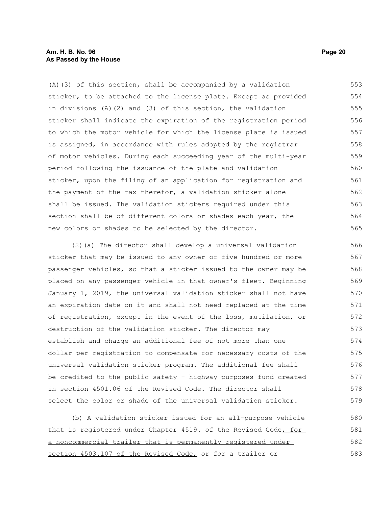#### **Am. H. B. No. 96 Page 20 As Passed by the House**

(A)(3) of this section, shall be accompanied by a validation sticker, to be attached to the license plate. Except as provided in divisions (A)(2) and (3) of this section, the validation sticker shall indicate the expiration of the registration period to which the motor vehicle for which the license plate is issued is assigned, in accordance with rules adopted by the registrar of motor vehicles. During each succeeding year of the multi-year period following the issuance of the plate and validation sticker, upon the filing of an application for registration and the payment of the tax therefor, a validation sticker alone shall be issued. The validation stickers required under this section shall be of different colors or shades each year, the new colors or shades to be selected by the director. 553 554 555 556 557 558 559 560 561 562 563 564 565

(2)(a) The director shall develop a universal validation sticker that may be issued to any owner of five hundred or more passenger vehicles, so that a sticker issued to the owner may be placed on any passenger vehicle in that owner's fleet. Beginning January 1, 2019, the universal validation sticker shall not have an expiration date on it and shall not need replaced at the time of registration, except in the event of the loss, mutilation, or destruction of the validation sticker. The director may establish and charge an additional fee of not more than one dollar per registration to compensate for necessary costs of the universal validation sticker program. The additional fee shall be credited to the public safety - highway purposes fund created in section 4501.06 of the Revised Code. The director shall select the color or shade of the universal validation sticker. 566 567 568 569 570 571 572 573 574 575 576 577 578 579

(b) A validation sticker issued for an all-purpose vehicle that is registered under Chapter 4519. of the Revised Code, for a noncommercial trailer that is permanently registered under section 4503.107 of the Revised Code, or for a trailer or 580 581 582 583